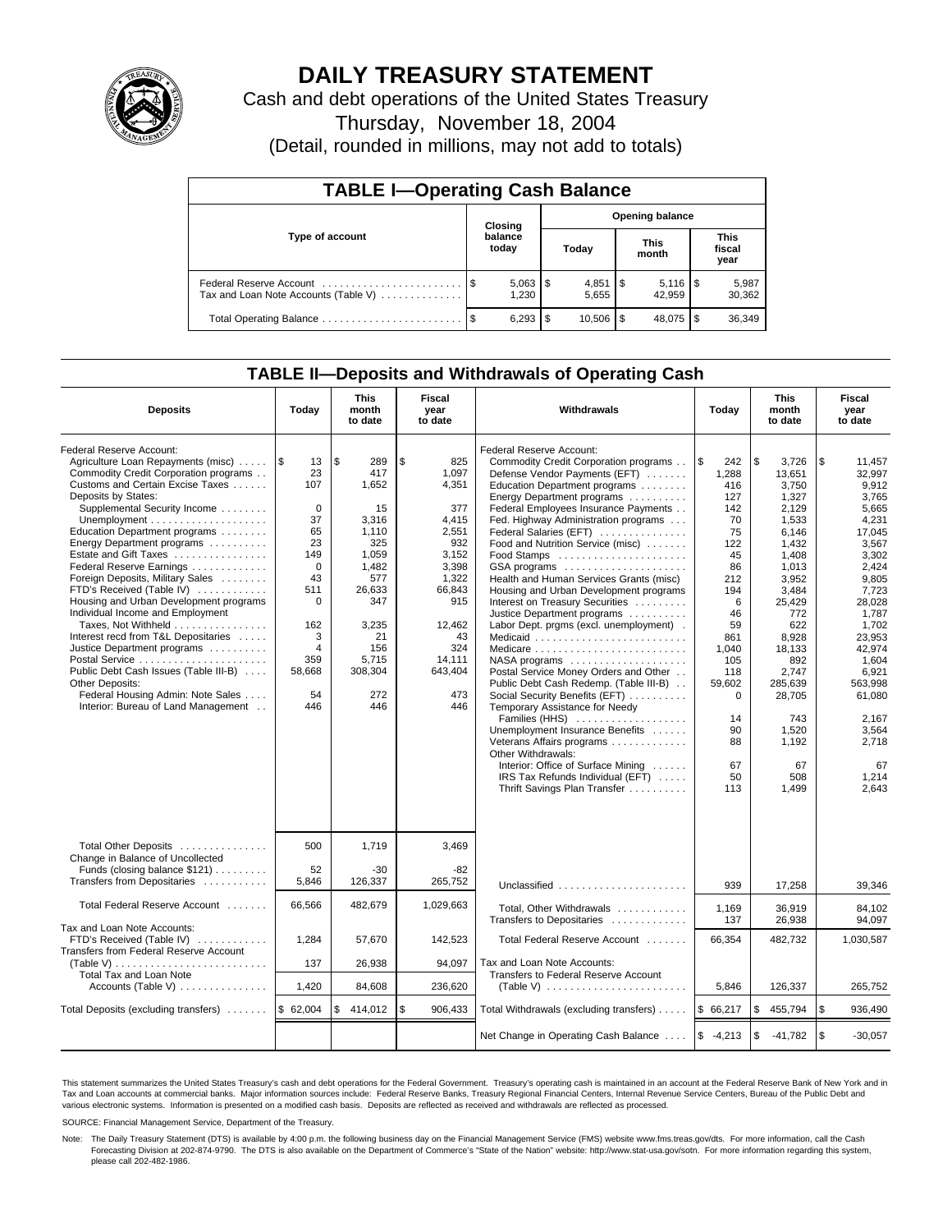

# **DAILY TREASURY STATEMENT**

Cash and debt operations of the United States Treasury

Thursday, November 18, 2004

(Detail, rounded in millions, may not add to totals)

| <b>TABLE I-Operating Cash Balance</b>                           |         |                       |    |                        |  |                      |  |                               |  |  |
|-----------------------------------------------------------------|---------|-----------------------|----|------------------------|--|----------------------|--|-------------------------------|--|--|
|                                                                 | Closing |                       |    | <b>Opening balance</b> |  |                      |  |                               |  |  |
| Type of account                                                 |         | balance<br>today      |    | Today                  |  | <b>This</b><br>month |  | <b>This</b><br>fiscal<br>year |  |  |
| Federal Reserve Account<br>Tax and Loan Note Accounts (Table V) |         | $5,063$   \$<br>1,230 |    | 5.655                  |  | 42.959               |  | 5,987<br>30,362               |  |  |
|                                                                 | - \$    | 6,293                 | \$ | $10.506$ \ \ \$        |  | 48.075               |  | 36,349                        |  |  |

### **TABLE II—Deposits and Withdrawals of Operating Cash**

| <b>Deposits</b>                                              | Today           | <b>This</b><br>month<br>to date | Fiscal<br>year<br>to date | Withdrawals                                                  | Today        | <b>This</b><br>month<br>to date | Fiscal<br>year<br>to date |
|--------------------------------------------------------------|-----------------|---------------------------------|---------------------------|--------------------------------------------------------------|--------------|---------------------------------|---------------------------|
| <b>Federal Reserve Account:</b>                              |                 |                                 |                           | Federal Reserve Account:                                     |              |                                 |                           |
| Agriculture Loan Repayments (misc)    \$                     | 13              | l\$<br>289                      | \$<br>825                 | Commodity Credit Corporation programs                        | \$<br>242    | \$<br>3,726                     | \$<br>11,457              |
| Commodity Credit Corporation programs                        | 23              | 417                             | 1,097                     | Defense Vendor Payments (EFT)                                | 1,288        | 13,651                          | 32,997                    |
| Customs and Certain Excise Taxes                             | 107             | 1,652                           | 4,351                     | Education Department programs                                | 416          | 3,750                           | 9,912                     |
| Deposits by States:                                          |                 |                                 |                           | Energy Department programs                                   | 127          | 1.327                           | 3.765                     |
| Supplemental Security Income                                 | $\Omega$        | 15                              | 377                       | Federal Employees Insurance Payments                         | 142          | 2,129                           | 5.665                     |
| Unemployment $\dots\dots\dots\dots\dots\dots\dots\dots$      | 37              | 3,316                           | 4,415                     | Fed. Highway Administration programs                         | 70           | 1,533                           | 4,231                     |
| Education Department programs                                | 65              | 1,110                           | 2,551                     | Federal Salaries (EFT)                                       | 75           | 6.146                           | 17.045                    |
| Energy Department programs                                   | 23              | 325                             | 932                       | Food and Nutrition Service (misc)                            | 122          | 1,432                           | 3,567                     |
| Estate and Gift Taxes                                        | 149<br>$\Omega$ | 1,059                           | 3,152                     |                                                              | 45           | 1,408                           | 3,302                     |
| Federal Reserve Earnings<br>Foreign Deposits, Military Sales | 43              | 1,482<br>577                    | 3,398<br>1,322            | GSA programs<br>Health and Human Services Grants (misc)      | 86<br>212    | 1,013                           | 2,424<br>9,805            |
| FTD's Received (Table IV)                                    | 511             | 26,633                          | 66,843                    | Housing and Urban Development programs                       |              | 3,952                           |                           |
| Housing and Urban Development programs                       | 0               | 347                             | 915                       | Interest on Treasury Securities                              | 194<br>6     | 3,484<br>25.429                 | 7,723<br>28.028           |
| Individual Income and Employment                             |                 |                                 |                           | Justice Department programs                                  | 46           | 772                             | 1.787                     |
| Taxes, Not Withheld                                          | 162             | 3,235                           | 12.462                    | Labor Dept. prgms (excl. unemployment).                      | 59           | 622                             | 1.702                     |
| Interest recd from T&L Depositaries                          | 3               | 21                              | 43                        | Medicaid                                                     | 861          | 8,928                           | 23,953                    |
| Justice Department programs                                  | $\overline{4}$  | 156                             | 324                       | Medicare                                                     | 1,040        | 18,133                          | 42,974                    |
|                                                              | 359             | 5,715                           | 14,111                    |                                                              | 105          | 892                             | 1.604                     |
| Public Debt Cash Issues (Table III-B)                        | 58,668          | 308,304                         | 643,404                   | Postal Service Money Orders and Other                        | 118          | 2,747                           | 6,921                     |
| <b>Other Deposits:</b>                                       |                 |                                 |                           | Public Debt Cash Redemp. (Table III-B)                       | 59,602       | 285,639                         | 563,998                   |
| Federal Housing Admin: Note Sales                            | 54              | 272                             | 473                       | Social Security Benefits (EFT)                               | $\mathbf 0$  | 28,705                          | 61,080                    |
| Interior: Bureau of Land Management                          | 446             | 446                             | 446                       | Temporary Assistance for Needy                               |              |                                 |                           |
|                                                              |                 |                                 |                           | Families (HHS)                                               | 14           | 743                             | 2.167                     |
|                                                              |                 |                                 |                           | Unemployment Insurance Benefits                              | 90           | 1,520                           | 3,564                     |
|                                                              |                 |                                 |                           | Veterans Affairs programs                                    | 88           | 1.192                           | 2.718                     |
|                                                              |                 |                                 |                           | Other Withdrawals:                                           |              |                                 |                           |
|                                                              |                 |                                 |                           | Interior: Office of Surface Mining                           | 67           | 67                              | 67                        |
|                                                              |                 |                                 |                           | IRS Tax Refunds Individual (EFT)                             | 50           | 508                             | 1,214                     |
|                                                              |                 |                                 |                           | Thrift Savings Plan Transfer                                 | 113          | 1,499                           | 2.643                     |
|                                                              |                 |                                 |                           |                                                              |              |                                 |                           |
| Total Other Deposits<br>Change in Balance of Uncollected     | 500             | 1.719                           | 3,469                     |                                                              |              |                                 |                           |
| Funds (closing balance \$121)                                | 52              | $-30$                           | -82                       |                                                              |              |                                 |                           |
| Transfers from Depositaries                                  | 5,846           | 126,337                         | 265,752                   | Unclassified                                                 | 939          | 17,258                          | 39,346                    |
|                                                              |                 |                                 |                           |                                                              |              |                                 |                           |
| Total Federal Reserve Account                                | 66,566          | 482,679                         | 1,029,663                 | Total, Other Withdrawals<br>Transfers to Depositaries        | 1,169<br>137 | 36,919<br>26,938                | 84.102<br>94,097          |
| Tax and Loan Note Accounts:                                  |                 |                                 |                           |                                                              |              |                                 |                           |
| FTD's Received (Table IV)                                    | 1,284           | 57,670                          | 142.523                   | Total Federal Reserve Account                                | 66,354       | 482,732                         | 1,030,587                 |
| Transfers from Federal Reserve Account                       |                 |                                 |                           |                                                              |              |                                 |                           |
| (Table V)                                                    | 137             | 26,938                          | 94,097                    | Tax and Loan Note Accounts:                                  |              |                                 |                           |
| Total Tax and Loan Note                                      |                 |                                 |                           | Transfers to Federal Reserve Account                         |              |                                 |                           |
| Accounts (Table V)                                           | 1,420           | 84,608                          | 236,620                   | (Table V) $\ldots \ldots \ldots \ldots \ldots \ldots \ldots$ | 5,846        | 126,337                         | 265,752                   |
| Total Deposits (excluding transfers)  \$ 62,004              |                 | \$414,012                       | \$<br>906,433             | Total Withdrawals (excluding transfers)                      | \$66,217     | \$<br>455,794                   | l \$<br>936,490           |
|                                                              |                 |                                 |                           | Net Change in Operating Cash Balance                         | $$ -4,213$   | \$<br>$-41,782$                 | l \$<br>$-30,057$         |

This statement summarizes the United States Treasury's cash and debt operations for the Federal Government. Treasury's operating cash is maintained in an account at the Federal Reserve Bank of New York and in Tax and Loan accounts at commercial banks. Major information sources include: Federal Reserve Banks, Treasury Regional Financial Centers, Internal Revenue Service Centers, Bureau of the Public Debt and<br>various electronic s

SOURCE: Financial Management Service, Department of the Treasury.

Note: The Daily Treasury Statement (DTS) is available by 4:00 p.m. the following business day on the Financial Management Service (FMS) website www.fms.treas.gov/dts. For more information, call the Cash Forecasting Division at 202-874-9790. The DTS is also available on the Department of Commerce's "State of the Nation" website: http://www.stat-usa.gov/sotn. For more information regarding this system, please call 202-482-1986.